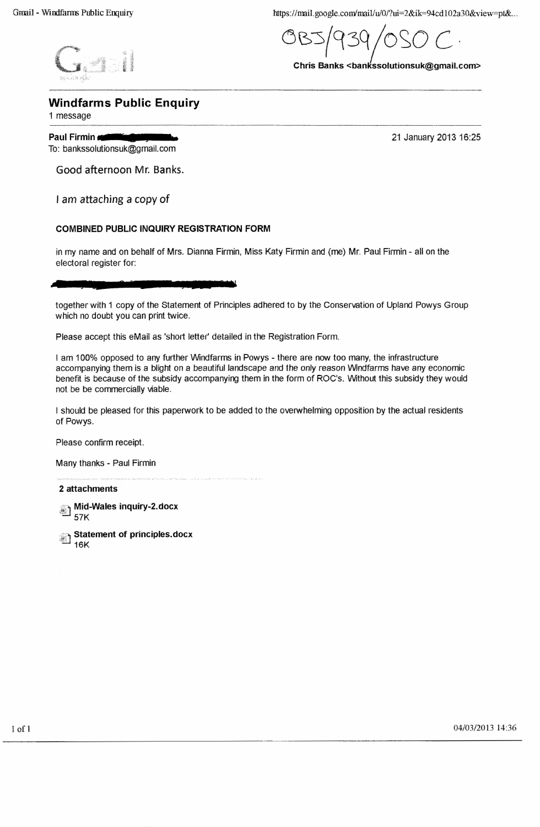https://mail.google.com/mail/u/0/?ui=2&ik=94cd102a30&view=pt&...

OBJ $/939/0$ SO C.

Chris Banks <bankssolutionsuk@gmail.com>

# Windfarms Public Enquiry

*.r> ,-*  $\mathsf{G}$ :  $\mathsf{L}$ 

1 message

 $pr_{\mathcal{A}}(n)$ 

#### **Paul Firmin**  $\blacksquare$ To: bankssolutionsuk@gmaiLcom

21 January 2013 16:25

Good afternoon Mr. Banks.

I am attaching a copy of

# COMBINED PUBLIC INQUIRY REGISTRATION FORM

in my name and on behalf of Mrs. Dianna Firmin, Miss Katy Firmin and (me) Mr. Paul Firrnin - all on the electoral register for:

**• <sup>2</sup> &** <sup>11</sup>

together with 1 copy of the Statement of Principles adhered to by the Conservation of Upland Powys Group which no doubt you can print twice.

Please accept this eMail as 'short letter' detailed in the Registration Form.

I am 100% opposed to any further Windfarrns in Powys - there are now too many, the infrastructure accompanying them is a blight on a beautiful landscape and the only reason Windfarrns have any economic benefit is because of the subsidy accompanying them in the form of ROC's, Without this subsidy they would not be be commercially viable,

I should be pleased for this paperwork to be added to the overwhelming opposition by the actual residents of Powys.

Please confirm receipt.

Many thanks - Paul Firmin

2 attachments

Mid-Wales inquiry-2.docx 57K

Statement of principles.docx 16K